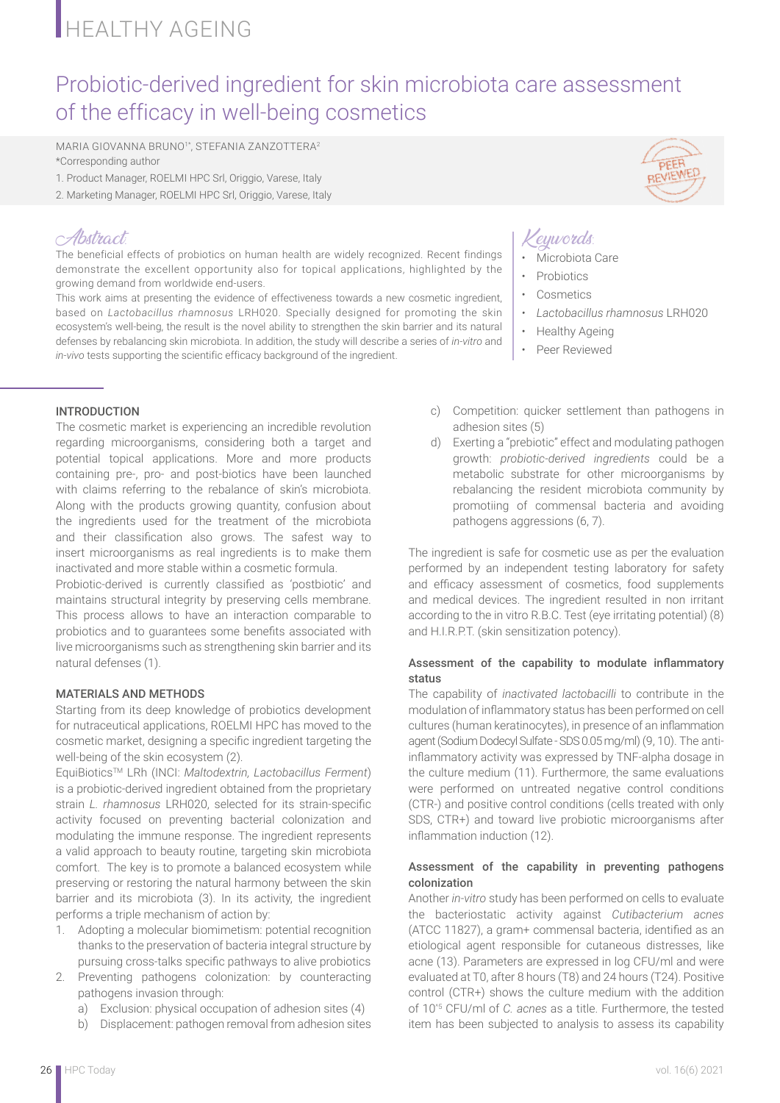# **HEALTHY AGEING**

## Probiotic-derived ingredient for skin microbiota care assessment of the efficacy in well-being cosmetics

MARIA GIOVANNA BRUNO1\*, STEFANIA ZANZOTTERA<sup>2</sup> \*Corresponding author

- 1. Product Manager, ROELMI HPC Srl, Origgio, Varese, Italy
- 2. Marketing Manager, ROELMI HPC Srl, Origgio, Varese, Italy

### Abstract:

The beneficial effects of probiotics on human health are widely recognized. Recent findings demonstrate the excellent opportunity also for topical applications, highlighted by the growing demand from worldwide end-users.

This work aims at presenting the evidence of effectiveness towards a new cosmetic ingredient, based on *Lactobacillus rhamnosus* LRH020. Specially designed for promoting the skin ecosystem's well-being, the result is the novel ability to strengthen the skin barrier and its natural defenses by rebalancing skin microbiota. In addition, the study will describe a series of *in-vitro* and *in-vivo* tests supporting the scientific efficacy background of the ingredient.

#### INTRODUCTION

The cosmetic market is experiencing an incredible revolution regarding microorganisms, considering both a target and potential topical applications. More and more products containing pre-, pro- and post-biotics have been launched with claims referring to the rebalance of skin's microbiota. Along with the products growing quantity, confusion about the ingredients used for the treatment of the microbiota and their classification also grows. The safest way to insert microorganisms as real ingredients is to make them inactivated and more stable within a cosmetic formula.

Probiotic-derived is currently classified as 'postbiotic' and maintains structural integrity by preserving cells membrane. This process allows to have an interaction comparable to probiotics and to guarantees some benefits associated with live microorganisms such as strengthening skin barrier and its natural defenses (1).

#### MATERIALS AND METHODS

Starting from its deep knowledge of probiotics development for nutraceutical applications, ROELMI HPC has moved to the cosmetic market, designing a specific ingredient targeting the well-being of the skin ecosystem (2).

EquiBioticsTM LRh (INCI: *Maltodextrin, Lactobacillus Ferment*) is a probiotic-derived ingredient obtained from the proprietary strain *L. rhamnosus* LRH020, selected for its strain-specific activity focused on preventing bacterial colonization and modulating the immune response. The ingredient represents a valid approach to beauty routine, targeting skin microbiota comfort. The key is to promote a balanced ecosystem while preserving or restoring the natural harmony between the skin barrier and its microbiota (3). In its activity, the ingredient performs a triple mechanism of action by:

- 1. Adopting a molecular biomimetism: potential recognition thanks to the preservation of bacteria integral structure by pursuing cross-talks specific pathways to alive probiotics
- 2. Preventing pathogens colonization: by counteracting pathogens invasion through:
	- a) Exclusion: physical occupation of adhesion sites (4)
	- b) Displacement: pathogen removal from adhesion sites



## Keywords:

- Microbiota Care
- **Probiotics**
- **Cosmetics**
- *Lactobacillus rhamnosus* LRH020
- Healthy Ageing
- Peer Reviewed
- c) Competition: quicker settlement than pathogens in adhesion sites (5)
- d) Exerting a "prebiotic" effect and modulating pathogen growth: *probiotic-derived ingredients* could be a metabolic substrate for other microorganisms by rebalancing the resident microbiota community by promotiing of commensal bacteria and avoiding pathogens aggressions (6, 7).

The ingredient is safe for cosmetic use as per the evaluation performed by an independent testing laboratory for safety and efficacy assessment of cosmetics, food supplements and medical devices. The ingredient resulted in non irritant according to the in vitro R.B.C. Test (eye irritating potential) (8) and H.I.R.P.T. (skin sensitization potency).

#### Assessment of the capability to modulate inflammatory status

The capability of *inactivated lactobacilli* to contribute in the modulation of inflammatory status has been performed on cell cultures (human keratinocytes), in presence of an inflammation agent (Sodium Dodecyl Sulfate - SDS 0.05 mg/ml) (9, 10). The antiinflammatory activity was expressed by TNF-alpha dosage in the culture medium (11). Furthermore, the same evaluations were performed on untreated negative control conditions (CTR-) and positive control conditions (cells treated with only SDS, CTR+) and toward live probiotic microorganisms after inflammation induction (12).

#### Assessment of the capability in preventing pathogens colonization

Another *in-vitro* study has been performed on cells to evaluate the bacteriostatic activity against *Cutibacterium acnes*  (ATCC 11827), a gram+ commensal bacteria, identified as an etiological agent responsible for cutaneous distresses, like acne (13). Parameters are expressed in log CFU/ml and were evaluated at T0, after 8 hours (T8) and 24 hours (T24). Positive control (CTR+) shows the culture medium with the addition of 10^5 CFU/ml of *C. acnes* as a title. Furthermore, the tested item has been subjected to analysis to assess its capability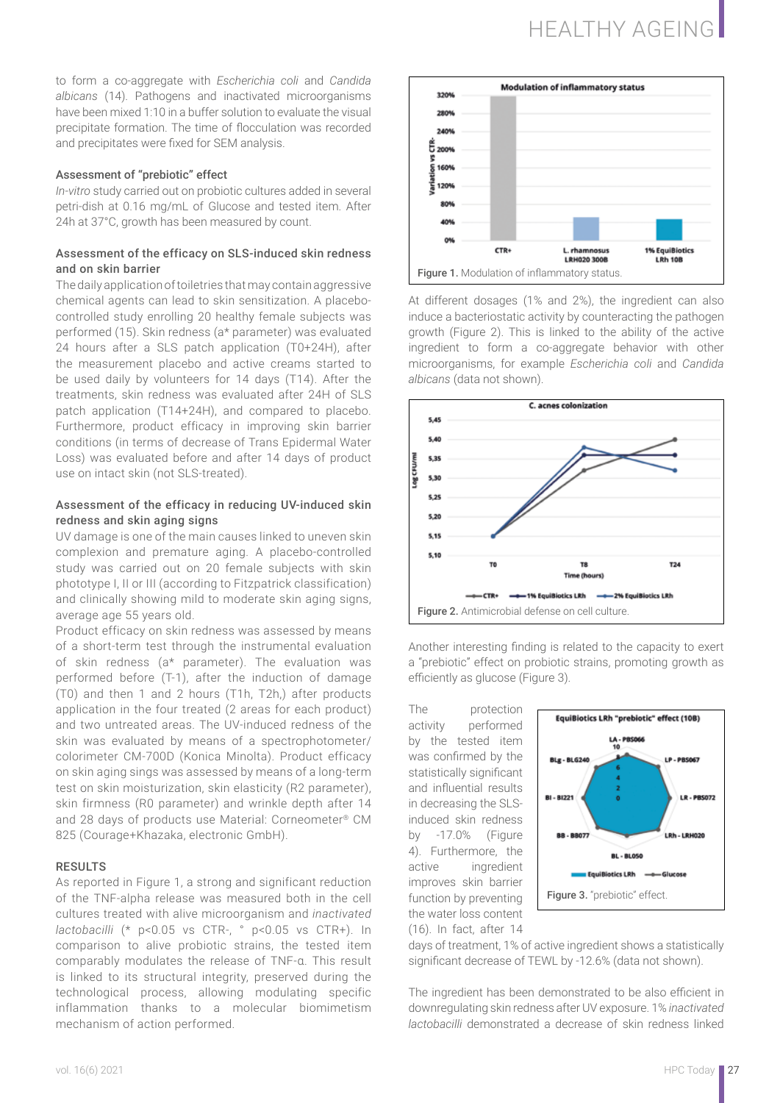## HEALTHY AGEING

to form a co-aggregate with *Escherichia coli* and *Candida albicans* (14). Pathogens and inactivated microorganisms have been mixed 1:10 in a buffer solution to evaluate the visual precipitate formation. The time of flocculation was recorded and precipitates were fixed for SEM analysis.

#### Assessment of "prebiotic" effect

*In-vitro* study carried out on probiotic cultures added in several petri-dish at 0.16 mg/mL of Glucose and tested item. After 24h at 37°C, growth has been measured by count.

#### Assessment of the efficacy on SLS-induced skin redness and on skin barrier

The daily application of toiletries that may contain aggressive chemical agents can lead to skin sensitization. A placebocontrolled study enrolling 20 healthy female subjects was performed (15). Skin redness (a\* parameter) was evaluated 24 hours after a SLS patch application (T0+24H), after the measurement placebo and active creams started to be used daily by volunteers for 14 days (T14). After the treatments, skin redness was evaluated after 24H of SLS patch application (T14+24H), and compared to placebo. Furthermore, product efficacy in improving skin barrier conditions (in terms of decrease of Trans Epidermal Water Loss) was evaluated before and after 14 days of product use on intact skin (not SLS-treated).

#### Assessment of the efficacy in reducing UV-induced skin redness and skin aging signs

UV damage is one of the main causes linked to uneven skin complexion and premature aging. A placebo-controlled study was carried out on 20 female subjects with skin phototype I, II or III (according to Fitzpatrick classification) and clinically showing mild to moderate skin aging signs, average age 55 years old.

Product efficacy on skin redness was assessed by means of a short-term test through the instrumental evaluation of skin redness (a\* parameter). The evaluation was performed before (T-1), after the induction of damage (T0) and then 1 and 2 hours (T1h, T2h,) after products application in the four treated (2 areas for each product) and two untreated areas. The UV-induced redness of the skin was evaluated by means of a spectrophotometer/ colorimeter CM-700D (Konica Minolta). Product efficacy on skin aging sings was assessed by means of a long-term test on skin moisturization, skin elasticity (R2 parameter), skin firmness (R0 parameter) and wrinkle depth after 14 and 28 days of products use Material: Corneometer® CM 825 (Courage+Khazaka, electronic GmbH).

#### **RESULTS**

As reported in Figure 1, a strong and significant reduction of the TNF-alpha release was measured both in the cell cultures treated with alive microorganism and *inactivated lactobacilli* (\* p<0.05 vs CTR-, ° p<0.05 vs CTR+). In comparison to alive probiotic strains, the tested item comparably modulates the release of TNF-α. This result is linked to its structural integrity, preserved during the technological process, allowing modulating specific inflammation thanks to a molecular biomimetism mechanism of action performed.



At different dosages (1% and 2%), the ingredient can also induce a bacteriostatic activity by counteracting the pathogen growth (Figure 2). This is linked to the ability of the active ingredient to form a co-aggregate behavior with other microorganisms, for example *Escherichia coli* and *Candida albicans* (data not shown).



Another interesting finding is related to the capacity to exert a "prebiotic" effect on probiotic strains, promoting growth as efficiently as glucose (Figure 3).

The protection activity performed by the tested item was confirmed by the statistically significant and influential results in decreasing the SLSinduced skin redness by -17.0% (Figure 4). Furthermore, the active ingredient improves skin barrier function by preventing the water loss content

(16). In fact, after 14



days of treatment, 1% of active ingredient shows a statistically significant decrease of TEWL by -12.6% (data not shown).

The ingredient has been demonstrated to be also efficient in downregulating skin redness after UV exposure. 1% *inactivated lactobacilli* demonstrated a decrease of skin redness linked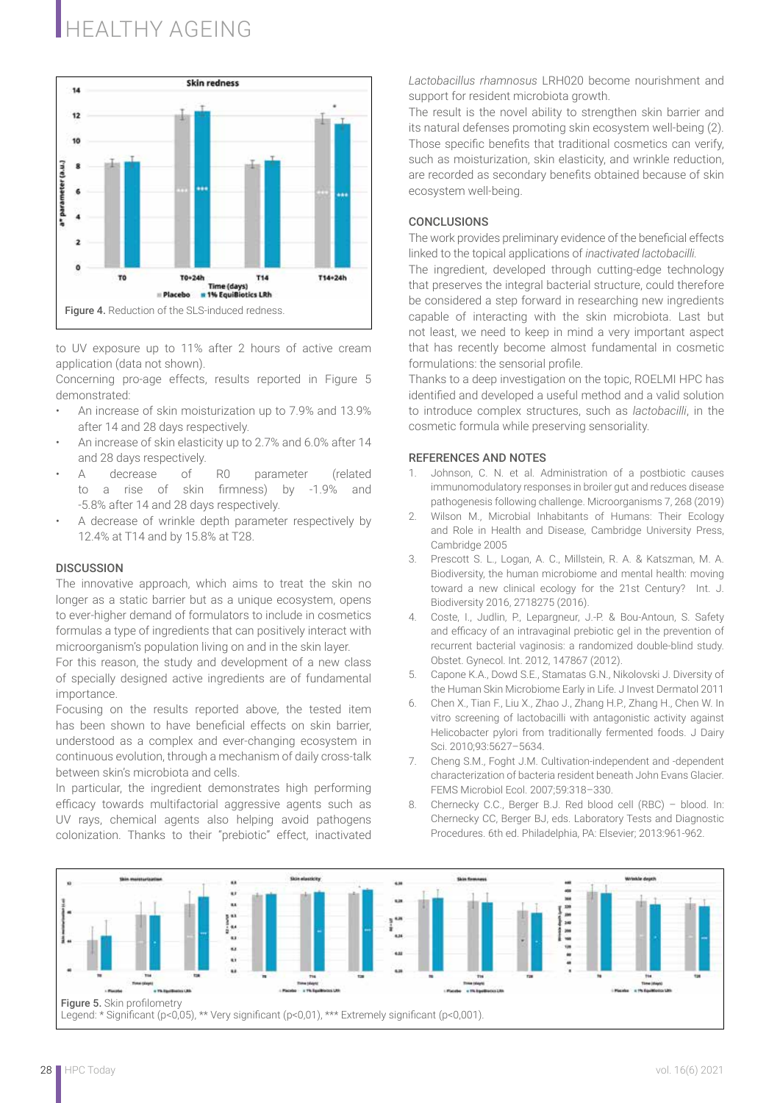# HEALTHY AGEING



to UV exposure up to 11% after 2 hours of active cream application (data not shown).

Concerning pro-age effects, results reported in Figure 5 demonstrated:

- An increase of skin moisturization up to 7.9% and 13.9% after 14 and 28 days respectively.
- An increase of skin elasticity up to 2.7% and 6.0% after 14 and 28 days respectively.
- A decrease of R0 parameter (related to a rise of skin firmness) by -1.9% and -5.8% after 14 and 28 days respectively.
- A decrease of wrinkle depth parameter respectively by 12.4% at T14 and by 15.8% at T28.

#### **DISCUSSION**

The innovative approach, which aims to treat the skin no longer as a static barrier but as a unique ecosystem, opens to ever-higher demand of formulators to include in cosmetics formulas a type of ingredients that can positively interact with microorganism's population living on and in the skin layer.

For this reason, the study and development of a new class of specially designed active ingredients are of fundamental importance.

Focusing on the results reported above, the tested item has been shown to have beneficial effects on skin barrier, understood as a complex and ever-changing ecosystem in continuous evolution, through a mechanism of daily cross-talk between skin's microbiota and cells.

In particular, the ingredient demonstrates high performing efficacy towards multifactorial aggressive agents such as UV rays, chemical agents also helping avoid pathogens colonization. Thanks to their "prebiotic" effect, inactivated *Lactobacillus rhamnosus* LRH020 become nourishment and support for resident microbiota growth.

The result is the novel ability to strengthen skin barrier and its natural defenses promoting skin ecosystem well-being (2). Those specific benefits that traditional cosmetics can verify, such as moisturization, skin elasticity, and wrinkle reduction, are recorded as secondary benefits obtained because of skin ecosystem well-being.

#### **CONCLUSIONS**

The work provides preliminary evidence of the beneficial effects linked to the topical applications of *inactivated lactobacilli.*

The ingredient, developed through cutting-edge technology that preserves the integral bacterial structure, could therefore be considered a step forward in researching new ingredients capable of interacting with the skin microbiota. Last but not least, we need to keep in mind a very important aspect that has recently become almost fundamental in cosmetic formulations: the sensorial profile.

Thanks to a deep investigation on the topic, ROELMI HPC has identified and developed a useful method and a valid solution to introduce complex structures, such as *lactobacilli*, in the cosmetic formula while preserving sensoriality.

#### REFERENCES AND NOTES

- 1. Johnson, C. N. et al. Administration of a postbiotic causes immunomodulatory responses in broiler gut and reduces disease pathogenesis following challenge. Microorganisms 7, 268 (2019)
- 2. Wilson M., Microbial Inhabitants of Humans: Their Ecology and Role in Health and Disease, Cambridge University Press, Cambridge 2005
- 3. Prescott S. L., Logan, A. C., Millstein, R. A. & Katszman, M. A. Biodiversity, the human microbiome and mental health: moving toward a new clinical ecology for the 21st Century? Int. J. Biodiversity 2016, 2718275 (2016).
- 4. Coste, I., Judlin, P., Lepargneur, J.-P. & Bou-Antoun, S. Safety and efficacy of an intravaginal prebiotic gel in the prevention of recurrent bacterial vaginosis: a randomized double-blind study. Obstet. Gynecol. Int. 2012, 147867 (2012).
- 5. Capone K.A., Dowd S.E., Stamatas G.N., Nikolovski J. Diversity of the Human Skin Microbiome Early in Life. J Invest Dermatol 2011
- 6. Chen X., Tian F., Liu X., Zhao J., Zhang H.P., Zhang H., Chen W. In vitro screening of lactobacilli with antagonistic activity against Helicobacter pylori from traditionally fermented foods. J Dairy Sci. 2010;93:5627–5634.
- 7. Cheng S.M., Foght J.M. Cultivation-independent and -dependent characterization of bacteria resident beneath John Evans Glacier. FEMS Microbiol Ecol. 2007;59:318–330.
- 8. Chernecky C.C., Berger B.J. Red blood cell (RBC) blood. In: Chernecky CC, Berger BJ, eds. Laboratory Tests and Diagnostic Procedures. 6th ed. Philadelphia, PA: Elsevier; 2013:961-962.